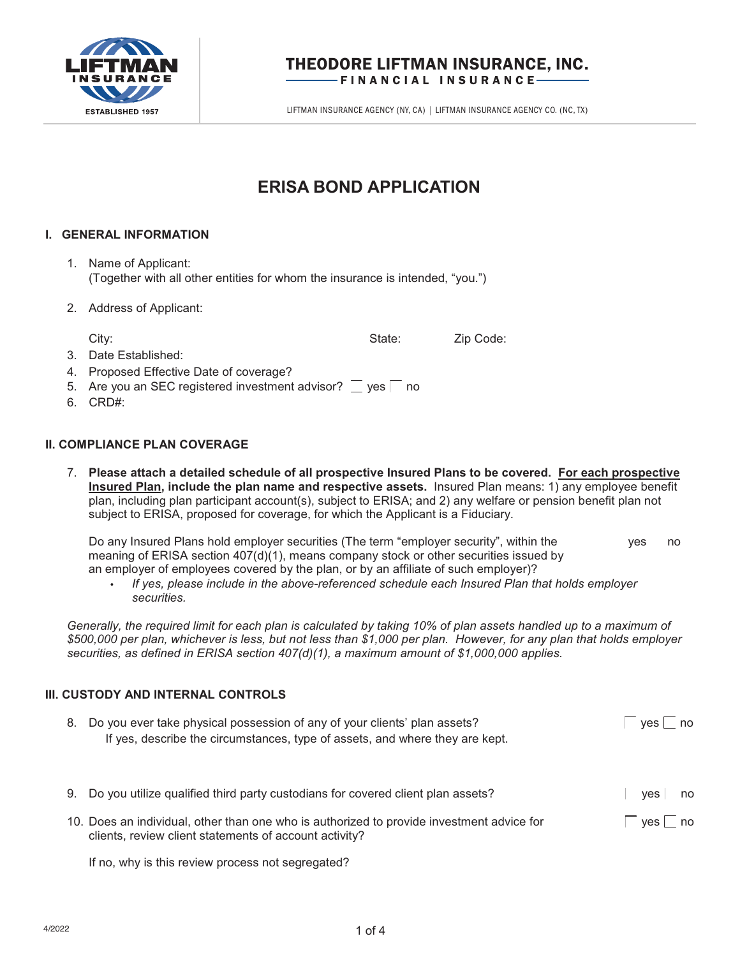

## THEODORE LIFTMAN INSURANCE, INC. FINANCIAL INSURANCE

LIFTMAN INSURANCE AGENCY (NY, CA) | LIFTMAN INSURANCE AGENCY CO. (NC, TX)

# **ERISA BOND APPLICATION**

## **I. GENERAL INFORMATION**

- 1. Name of Applicant: (Together with all other entities for whom the insurance is intended, "you.")
- 2. Address of Applicant:
- City: City: City: City: City: City: City: City: 2ip Code: 2ip Code: 2ip Code: 2ip Code: 2ip Code: 2ip Code: 2ip Code: 2ip Code: 2ip Code: 2ip Code: 2ip Code: 2ip Code: 2ip Code: 2ip Code: 2ip Code: 2ip Code: 2ip Code: 2ip 3. Date Established: 4. Proposed Effective Date of coverage? 5. Are you an SEC registered investment advisor?  $\Box$  yes  $\Box$  no
- 6. CRD#:

## **II. COMPLIANCE PLAN COVERAGE**

7. **Please attach a detailed schedule of all prospective Insured Plans to be covered. For each prospective Insured Plan, include the plan name and respective assets.** Insured Plan means: 1) any employee benefit plan, including plan participant account(s), subject to ERISA; and 2) any welfare or pension benefit plan not subject to ERISA, proposed for coverage, for which the Applicant is a Fiduciary.

Do any Insured Plans hold employer securities (The term "employer security", within the  $\sim$   $\sim$  yes  $\sim$  no meaning of ERISA section 407(d)(1), means company stock or other securities issued by an employer of employees covered by the plan, or by an affiliate of such employer)?

• *If yes, please include in the above-referenced schedule each Insured Plan that holds employer securities.* 

Generally, the required limit for each plan is calculated by taking 10% of plan assets handled up to a maximum of *\$500,000 per plan, whichever is less, but not less than \$1,000 per plan. However, for any plan that holds employer securities, as defined in ERISA section 407(d)(1), a maximum amount of \$1,000,000 applies.* 

### **III. CUSTODY AND INTERNAL CONTROLS**

| 8. | Do you ever take physical possession of any of your clients' plan assets?<br>If yes, describe the circumstances, type of assets, and where they are kept. | no.<br>ves |
|----|-----------------------------------------------------------------------------------------------------------------------------------------------------------|------------|
|    | 9. Do you utilize qualified third party custodians for covered client plan assets?                                                                        | yes no     |
|    | 10. Does an individual, other than one who is authorized to provide investment advice for<br>clients, review client statements of account activity?       | yes no     |

If no, why is this review process not segregated?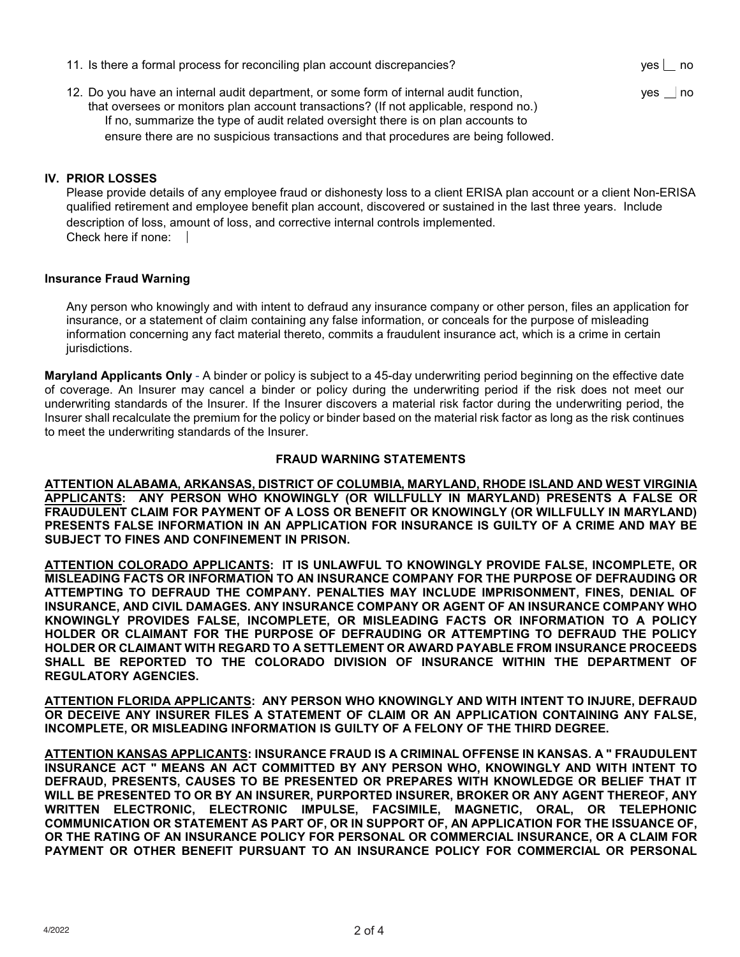| 11. Is there a formal process for reconciling plan account discrepancies?                                                                                                       | yes no |
|---------------------------------------------------------------------------------------------------------------------------------------------------------------------------------|--------|
| 12. Do you have an internal audit department, or some form of internal audit function,<br>that oversees or monitors plan account transactions? (If not applicable, respond no.) | yes no |
| If no, summarize the type of audit related oversight there is on plan accounts to                                                                                               |        |

ensure there are no suspicious transactions and that procedures are being followed.

## **IV. PRIOR LOSSES**

Please provide details of any employee fraud or dishonesty loss to a client ERISA plan account or a client Non-ERISA qualified retirement and employee benefit plan account, discovered or sustained in the last three years. Include description of loss, amount of loss, and corrective internal controls implemented. Check here if none:

#### **Insurance Fraud Warning**

 Any person who knowingly and with intent to defraud any insurance company or other person, files an application for insurance, or a statement of claim containing any false information, or conceals for the purpose of misleading information concerning any fact material thereto, commits a fraudulent insurance act, which is a crime in certain jurisdictions.

**Maryland Applicants Only** - A binder or policy is subject to a 45-day underwriting period beginning on the effective date of coverage. An Insurer may cancel a binder or policy during the underwriting period if the risk does not meet our underwriting standards of the Insurer. If the Insurer discovers a material risk factor during the underwriting period, the Insurer shall recalculate the premium for the policy or binder based on the material risk factor as long as the risk continues to meet the underwriting standards of the Insurer.

#### **FRAUD WARNING STATEMENTS**

**ATTENTION ALABAMA, ARKANSAS, DISTRICT OF COLUMBIA, MARYLAND, RHODE ISLAND AND WEST VIRGINIA APPLICANTS: ANY PERSON WHO KNOWINGLY (OR WILLFULLY IN MARYLAND) PRESENTS A FALSE OR FRAUDULENT CLAIM FOR PAYMENT OF A LOSS OR BENEFIT OR KNOWINGLY (OR WILLFULLY IN MARYLAND) PRESENTS FALSE INFORMATION IN AN APPLICATION FOR INSURANCE IS GUILTY OF A CRIME AND MAY BE SUBJECT TO FINES AND CONFINEMENT IN PRISON.** 

**ATTENTION COLORADO APPLICANTS: IT IS UNLAWFUL TO KNOWINGLY PROVIDE FALSE, INCOMPLETE, OR MISLEADING FACTS OR INFORMATION TO AN INSURANCE COMPANY FOR THE PURPOSE OF DEFRAUDING OR ATTEMPTING TO DEFRAUD THE COMPANY. PENALTIES MAY INCLUDE IMPRISONMENT, FINES, DENIAL OF INSURANCE, AND CIVIL DAMAGES. ANY INSURANCE COMPANY OR AGENT OF AN INSURANCE COMPANY WHO KNOWINGLY PROVIDES FALSE, INCOMPLETE, OR MISLEADING FACTS OR INFORMATION TO A POLICY HOLDER OR CLAIMANT FOR THE PURPOSE OF DEFRAUDING OR ATTEMPTING TO DEFRAUD THE POLICY HOLDER OR CLAIMANT WITH REGARD TO A SETTLEMENT OR AWARD PAYABLE FROM INSURANCE PROCEEDS SHALL BE REPORTED TO THE COLORADO DIVISION OF INSURANCE WITHIN THE DEPARTMENT OF REGULATORY AGENCIES.** 

**ATTENTION FLORIDA APPLICANTS: ANY PERSON WHO KNOWINGLY AND WITH INTENT TO INJURE, DEFRAUD OR DECEIVE ANY INSURER FILES A STATEMENT OF CLAIM OR AN APPLICATION CONTAINING ANY FALSE, INCOMPLETE, OR MISLEADING INFORMATION IS GUILTY OF A FELONY OF THE THIRD DEGREE.** 

**ATTENTION KANSAS APPLICANTS: INSURANCE FRAUD IS A CRIMINAL OFFENSE IN KANSAS. A " FRAUDULENT INSURANCE ACT " MEANS AN ACT COMMITTED BY ANY PERSON WHO, KNOWINGLY AND WITH INTENT TO DEFRAUD, PRESENTS, CAUSES TO BE PRESENTED OR PREPARES WITH KNOWLEDGE OR BELIEF THAT IT WILL BE PRESENTED TO OR BY AN INSURER, PURPORTED INSURER, BROKER OR ANY AGENT THEREOF, ANY WRITTEN ELECTRONIC, ELECTRONIC IMPULSE, FACSIMILE, MAGNETIC, ORAL, OR TELEPHONIC COMMUNICATION OR STATEMENT AS PART OF, OR IN SUPPORT OF, AN APPLICATION FOR THE ISSUANCE OF, OR THE RATING OF AN INSURANCE POLICY FOR PERSONAL OR COMMERCIAL INSURANCE, OR A CLAIM FOR PAYMENT OR OTHER BENEFIT PURSUANT TO AN INSURANCE POLICY FOR COMMERCIAL OR PERSONAL**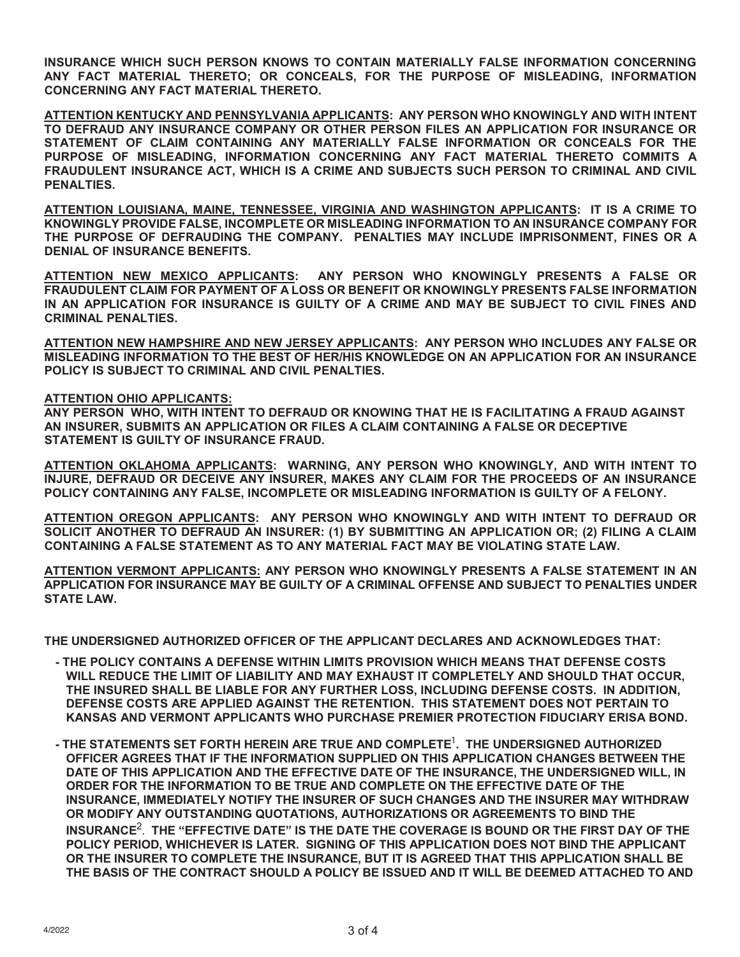**INSURANCE WHICH SUCH PERSON KNOWS TO CONTAIN MATERIALLY FALSE INFORMATION CONCERNING ANY FACT MATERIAL THERETO; OR CONCEALS, FOR THE PURPOSE OF MISLEADING, INFORMATION CONCERNING ANY FACT MATERIAL THERETO.** 

**ATTENTION KENTUCKY AND PENNSYLVANIA APPLICANTS: ANY PERSON WHO KNOWINGLY AND WITH INTENT TO DEFRAUD ANY INSURANCE COMPANY OR OTHER PERSON FILES AN APPLICATION FOR INSURANCE OR STATEMENT OF CLAIM CONTAINING ANY MATERIALLY FALSE INFORMATION OR CONCEALS FOR THE PURPOSE OF MISLEADING, INFORMATION CONCERNING ANY FACT MATERIAL THERETO COMMITS A FRAUDULENT INSURANCE ACT, WHICH IS A CRIME AND SUBJECTS SUCH PERSON TO CRIMINAL AND CIVIL PENALTIES.** 

**ATTENTION LOUISIANA, MAINE, TENNESSEE, VIRGINIA AND WASHINGTON APPLICANTS: IT IS A CRIME TO KNOWINGLY PROVIDE FALSE, INCOMPLETE OR MISLEADING INFORMATION TO AN INSURANCE COMPANY FOR THE PURPOSE OF DEFRAUDING THE COMPANY. PENALTIES MAY INCLUDE IMPRISONMENT, FINES OR A DENIAL OF INSURANCE BENEFITS.** 

**ATTENTION NEW MEXICO APPLICANTS: ANY PERSON WHO KNOWINGLY PRESENTS A FALSE OR FRAUDULENT CLAIM FOR PAYMENT OF A LOSS OR BENEFIT OR KNOWINGLY PRESENTS FALSE INFORMATION IN AN APPLICATION FOR INSURANCE IS GUILTY OF A CRIME AND MAY BE SUBJECT TO CIVIL FINES AND CRIMINAL PENALTIES.** 

**ATTENTION NEW HAMPSHIRE AND NEW JERSEY APPLICANTS: ANY PERSON WHO INCLUDES ANY FALSE OR MISLEADING INFORMATION TO THE BEST OF HER/HIS KNOWLEDGE ON AN APPLICATION FOR AN INSURANCE POLICY IS SUBJECT TO CRIMINAL AND CIVIL PENALTIES.** 

#### **ATTENTION OHIO APPLICANTS:**

**ANY PERSON WHO, WITH INTENT TO DEFRAUD OR KNOWING THAT HE IS FACILITATING A FRAUD AGAINST AN INSURER, SUBMITS AN APPLICATION OR FILES A CLAIM CONTAINING A FALSE OR DECEPTIVE STATEMENT IS GUILTY OF INSURANCE FRAUD.** 

**ATTENTION OKLAHOMA APPLICANTS: WARNING, ANY PERSON WHO KNOWINGLY, AND WITH INTENT TO INJURE, DEFRAUD OR DECEIVE ANY INSURER, MAKES ANY CLAIM FOR THE PROCEEDS OF AN INSURANCE POLICY CONTAINING ANY FALSE, INCOMPLETE OR MISLEADING INFORMATION IS GUILTY OF A FELONY.** 

**ATTENTION OREGON APPLICANTS: ANY PERSON WHO KNOWINGLY AND WITH INTENT TO DEFRAUD OR SOLICIT ANOTHER TO DEFRAUD AN INSURER: (1) BY SUBMITTING AN APPLICATION OR; (2) FILING A CLAIM CONTAINING A FALSE STATEMENT AS TO ANY MATERIAL FACT MAY BE VIOLATING STATE LAW.** 

**ATTENTION VERMONT APPLICANTS: ANY PERSON WHO KNOWINGLY PRESENTS A FALSE STATEMENT IN AN APPLICATION FOR INSURANCE MAY BE GUILTY OF A CRIMINAL OFFENSE AND SUBJECT TO PENALTIES UNDER STATE LAW.** 

**THE UNDERSIGNED AUTHORIZED OFFICER OF THE APPLICANT DECLARES AND ACKNOWLEDGES THAT:** 

- **THE POLICY CONTAINS A DEFENSE WITHIN LIMITS PROVISION WHICH MEANS THAT DEFENSE COSTS WILL REDUCE THE LIMIT OF LIABILITY AND MAY EXHAUST IT COMPLETELY AND SHOULD THAT OCCUR, THE INSURED SHALL BE LIABLE FOR ANY FURTHER LOSS, INCLUDING DEFENSE COSTS. IN ADDITION, DEFENSE COSTS ARE APPLIED AGAINST THE RETENTION. THIS STATEMENT DOES NOT PERTAIN TO KANSAS AND VERMONT APPLICANTS WHO PURCHASE PREMIER PROTECTION FIDUCIARY ERISA BOND.**
- **THE STATEMENTS SET FORTH HEREIN ARE TRUE AND COMPLETE**1**. THE UNDERSIGNED AUTHORIZED OFFICER AGREES THAT IF THE INFORMATION SUPPLIED ON THIS APPLICATION CHANGES BETWEEN THE DATE OF THIS APPLICATION AND THE EFFECTIVE DATE OF THE INSURANCE, THE UNDERSIGNED WILL, IN ORDER FOR THE INFORMATION TO BE TRUE AND COMPLETE ON THE EFFECTIVE DATE OF THE INSURANCE, IMMEDIATELY NOTIFY THE INSURER OF SUCH CHANGES AND THE INSURER MAY WITHDRAW OR MODIFY ANY OUTSTANDING QUOTATIONS, AUTHORIZATIONS OR AGREEMENTS TO BIND THE INSURANCE**2. **THE "EFFECTIVE DATE" IS THE DATE THE COVERAGE IS BOUND OR THE FIRST DAY OF THE POLICY PERIOD, WHICHEVER IS LATER. SIGNING OF THIS APPLICATION DOES NOT BIND THE APPLICANT OR THE INSURER TO COMPLETE THE INSURANCE, BUT IT IS AGREED THAT THIS APPLICATION SHALL BE THE BASIS OF THE CONTRACT SHOULD A POLICY BE ISSUED AND IT WILL BE DEEMED ATTACHED TO AND**